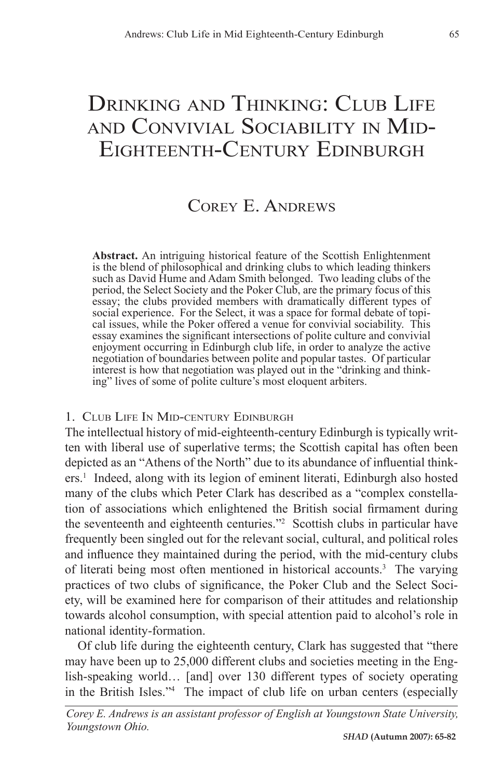# DRINKING AND THINKING: CLUB LIFE and Convivial Sociability in Mid- Eighteenth-Century Edinburgh

## Corey E. Andrews

**Abstract.** An intriguing historical feature of the Scottish Enlightenment is the blend of philosophical and drinking clubs to which leading thinkers such as David Hume and Adam Smith belonged. Two leading clubs of the period, the Select Society and the Poker Club, are the primary focus of this essay; the clubs provided members with dramatically different types of social experience. For the Select, it was a space for formal debate of topical issues, while the Poker offered a venue for convivial sociability. This essay examines the significant intersections of polite culture and convivial enjoyment occurring in Edinburgh club life, in order to analyze the active negotiation of boundaries between polite and popular tastes. Of particular interest is how that negotiation was played out in the "drinking and thinking" lives of some of polite culture's most eloquent arbiters.

#### 1. Club Life In Mid-century Edinburgh

The intellectual history of mid-eighteenth-century Edinburgh is typically written with liberal use of superlative terms; the Scottish capital has often been depicted as an "Athens of the North" due to its abundance of influential thinkers.1 Indeed, along with its legion of eminent literati, Edinburgh also hosted many of the clubs which Peter Clark has described as a "complex constellation of associations which enlightened the British social firmament during the seventeenth and eighteenth centuries."2 Scottish clubs in particular have frequently been singled out for the relevant social, cultural, and political roles and influence they maintained during the period, with the mid-century clubs of literati being most often mentioned in historical accounts.<sup>3</sup> The varying practices of two clubs of significance, the Poker Club and the Select Society, will be examined here for comparison of their attitudes and relationship towards alcohol consumption, with special attention paid to alcohol's role in national identity-formation.

Of club life during the eighteenth century, Clark has suggested that "there may have been up to 25,000 different clubs and societies meeting in the English-speaking world… [and] over 130 different types of society operating in the British Isles."4 The impact of club life on urban centers (especially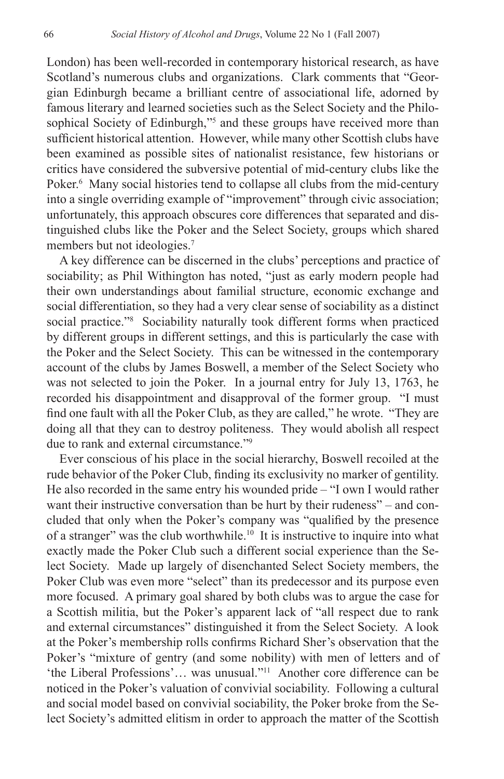London) has been well-recorded in contemporary historical research, as have Scotland's numerous clubs and organizations. Clark comments that "Georgian Edinburgh became a brilliant centre of associational life, adorned by famous literary and learned societies such as the Select Society and the Philosophical Society of Edinburgh,"<sup>5</sup> and these groups have received more than sufficient historical attention. However, while many other Scottish clubs have been examined as possible sites of nationalist resistance, few historians or critics have considered the subversive potential of mid-century clubs like the Poker.<sup>6</sup> Many social histories tend to collapse all clubs from the mid-century into a single overriding example of "improvement" through civic association; unfortunately, this approach obscures core differences that separated and distinguished clubs like the Poker and the Select Society, groups which shared members but not ideologies.<sup>7</sup>

A key difference can be discerned in the clubs' perceptions and practice of sociability; as Phil Withington has noted, "just as early modern people had their own understandings about familial structure, economic exchange and social differentiation, so they had a very clear sense of sociability as a distinct social practice."8 Sociability naturally took different forms when practiced by different groups in different settings, and this is particularly the case with the Poker and the Select Society. This can be witnessed in the contemporary account of the clubs by James Boswell, a member of the Select Society who was not selected to join the Poker. In a journal entry for July 13, 1763, he recorded his disappointment and disapproval of the former group. "I must find one fault with all the Poker Club, as they are called," he wrote. "They are doing all that they can to destroy politeness. They would abolish all respect due to rank and external circumstance."9

Ever conscious of his place in the social hierarchy, Boswell recoiled at the rude behavior of the Poker Club, finding its exclusivity no marker of gentility. He also recorded in the same entry his wounded pride – "I own I would rather want their instructive conversation than be hurt by their rudeness" – and concluded that only when the Poker's company was "qualified by the presence of a stranger" was the club worthwhile.10 It is instructive to inquire into what exactly made the Poker Club such a different social experience than the Select Society. Made up largely of disenchanted Select Society members, the Poker Club was even more "select" than its predecessor and its purpose even more focused. A primary goal shared by both clubs was to argue the case for a Scottish militia, but the Poker's apparent lack of "all respect due to rank and external circumstances" distinguished it from the Select Society. A look at the Poker's membership rolls confirms Richard Sher's observation that the Poker's "mixture of gentry (and some nobility) with men of letters and of 'the Liberal Professions'… was unusual."11 Another core difference can be noticed in the Poker's valuation of convivial sociability. Following a cultural and social model based on convivial sociability, the Poker broke from the Select Society's admitted elitism in order to approach the matter of the Scottish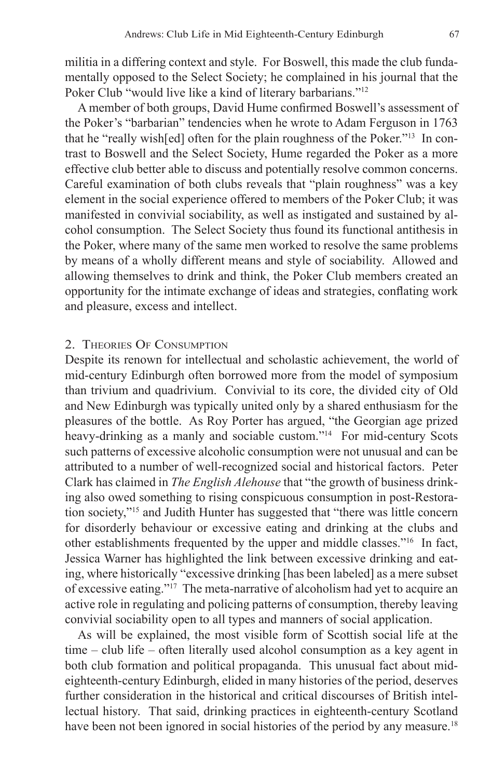militia in a differing context and style. For Boswell, this made the club fundamentally opposed to the Select Society; he complained in his journal that the Poker Club "would live like a kind of literary barbarians."<sup>12</sup>

A member of both groups, David Hume confirmed Boswell's assessment of the Poker's "barbarian" tendencies when he wrote to Adam Ferguson in 1763 that he "really wish[ed] often for the plain roughness of the Poker."13 In contrast to Boswell and the Select Society, Hume regarded the Poker as a more effective club better able to discuss and potentially resolve common concerns. Careful examination of both clubs reveals that "plain roughness" was a key element in the social experience offered to members of the Poker Club; it was manifested in convivial sociability, as well as instigated and sustained by alcohol consumption. The Select Society thus found its functional antithesis in the Poker, where many of the same men worked to resolve the same problems by means of a wholly different means and style of sociability. Allowed and allowing themselves to drink and think, the Poker Club members created an opportunity for the intimate exchange of ideas and strategies, conflating work and pleasure, excess and intellect.

#### 2. Theories Of Consumption

Despite its renown for intellectual and scholastic achievement, the world of mid-century Edinburgh often borrowed more from the model of symposium than trivium and quadrivium. Convivial to its core, the divided city of Old and New Edinburgh was typically united only by a shared enthusiasm for the pleasures of the bottle. As Roy Porter has argued, "the Georgian age prized heavy-drinking as a manly and sociable custom."<sup>14</sup> For mid-century Scots such patterns of excessive alcoholic consumption were not unusual and can be attributed to a number of well-recognized social and historical factors. Peter Clark has claimed in *The English Alehouse* that "the growth of business drinking also owed something to rising conspicuous consumption in post-Restoration society,"15 and Judith Hunter has suggested that "there was little concern for disorderly behaviour or excessive eating and drinking at the clubs and other establishments frequented by the upper and middle classes."16 In fact, Jessica Warner has highlighted the link between excessive drinking and eating, where historically "excessive drinking [has been labeled] as a mere subset of excessive eating."17 The meta-narrative of alcoholism had yet to acquire an active role in regulating and policing patterns of consumption, thereby leaving convivial sociability open to all types and manners of social application.

As will be explained, the most visible form of Scottish social life at the time – club life – often literally used alcohol consumption as a key agent in both club formation and political propaganda. This unusual fact about mideighteenth-century Edinburgh, elided in many histories of the period, deserves further consideration in the historical and critical discourses of British intellectual history. That said, drinking practices in eighteenth-century Scotland have been not been ignored in social histories of the period by any measure.<sup>18</sup>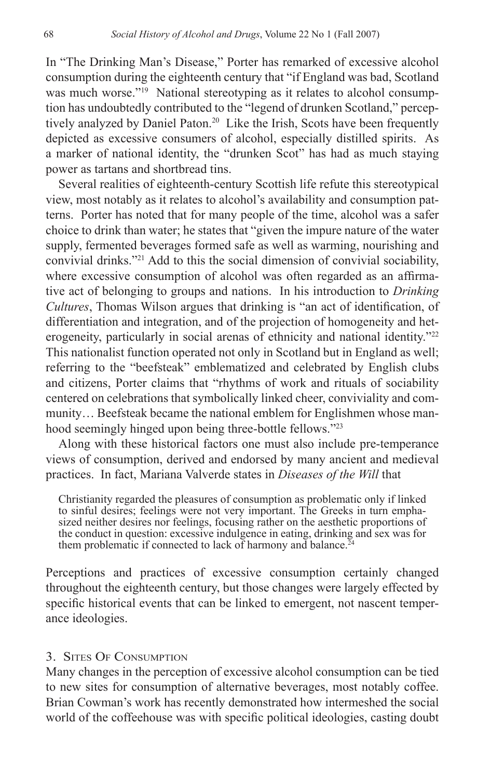In "The Drinking Man's Disease," Porter has remarked of excessive alcohol consumption during the eighteenth century that "if England was bad, Scotland was much worse."<sup>19</sup> National stereotyping as it relates to alcohol consumption has undoubtedly contributed to the "legend of drunken Scotland," perceptively analyzed by Daniel Paton.<sup>20</sup> Like the Irish, Scots have been frequently depicted as excessive consumers of alcohol, especially distilled spirits. As a marker of national identity, the "drunken Scot" has had as much staying power as tartans and shortbread tins.

Several realities of eighteenth-century Scottish life refute this stereotypical view, most notably as it relates to alcohol's availability and consumption patterns. Porter has noted that for many people of the time, alcohol was a safer choice to drink than water; he states that "given the impure nature of the water supply, fermented beverages formed safe as well as warming, nourishing and convivial drinks."21 Add to this the social dimension of convivial sociability, where excessive consumption of alcohol was often regarded as an affirmative act of belonging to groups and nations. In his introduction to *Drinking Cultures*, Thomas Wilson argues that drinking is "an act of identification, of differentiation and integration, and of the projection of homogeneity and heterogeneity, particularly in social arenas of ethnicity and national identity."<sup>22</sup> This nationalist function operated not only in Scotland but in England as well; referring to the "beefsteak" emblematized and celebrated by English clubs and citizens, Porter claims that "rhythms of work and rituals of sociability centered on celebrations that symbolically linked cheer, conviviality and community… Beefsteak became the national emblem for Englishmen whose manhood seemingly hinged upon being three-bottle fellows."23

Along with these historical factors one must also include pre-temperance views of consumption, derived and endorsed by many ancient and medieval practices. In fact, Mariana Valverde states in *Diseases of the Will* that

Christianity regarded the pleasures of consumption as problematic only if linked to sinful desires; feelings were not very important. The Greeks in turn emphasized neither desires nor feelings, focusing rather on the aesthetic proportions of the conduct in question: excessive indulgence in eating, drinking and sex was for them problematic if connected to lack of harmony and balance.<sup>2</sup>

Perceptions and practices of excessive consumption certainly changed throughout the eighteenth century, but those changes were largely effected by specific historical events that can be linked to emergent, not nascent temperance ideologies.

#### 3. Sites Of Consumption

Many changes in the perception of excessive alcohol consumption can be tied to new sites for consumption of alternative beverages, most notably coffee. Brian Cowman's work has recently demonstrated how intermeshed the social world of the coffeehouse was with specific political ideologies, casting doubt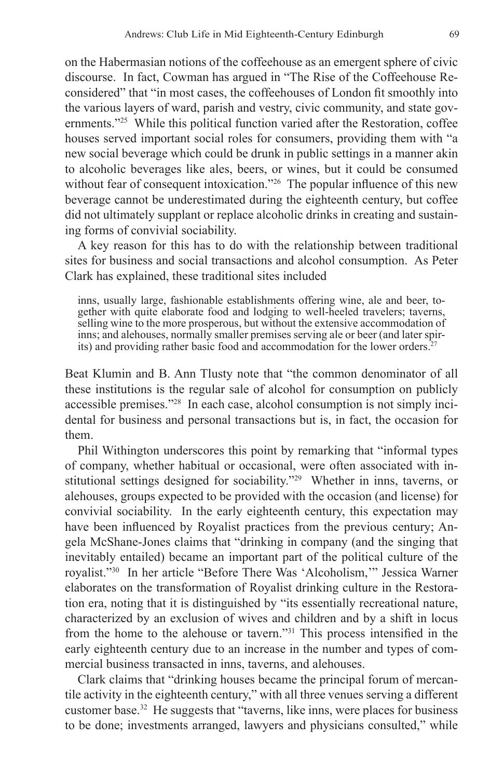on the Habermasian notions of the coffeehouse as an emergent sphere of civic discourse. In fact, Cowman has argued in "The Rise of the Coffeehouse Reconsidered" that "in most cases, the coffeehouses of London fit smoothly into the various layers of ward, parish and vestry, civic community, and state governments."25 While this political function varied after the Restoration, coffee houses served important social roles for consumers, providing them with "a new social beverage which could be drunk in public settings in a manner akin to alcoholic beverages like ales, beers, or wines, but it could be consumed without fear of consequent intoxication."<sup>26</sup> The popular influence of this new beverage cannot be underestimated during the eighteenth century, but coffee did not ultimately supplant or replace alcoholic drinks in creating and sustaining forms of convivial sociability.

A key reason for this has to do with the relationship between traditional sites for business and social transactions and alcohol consumption. As Peter Clark has explained, these traditional sites included

inns, usually large, fashionable establishments offering wine, ale and beer, together with quite elaborate food and lodging to well-heeled travelers; taverns, selling wine to the more prosperous, but without the extensive accommodation of inns; and alehouses, normally smaller premises serving ale or beer (and later spirits) and providing rather basic food and accommodation for the lower orders.<sup>27</sup>

Beat Klumin and B. Ann Tlusty note that "the common denominator of all these institutions is the regular sale of alcohol for consumption on publicly accessible premises."28 In each case, alcohol consumption is not simply incidental for business and personal transactions but is, in fact, the occasion for them.

Phil Withington underscores this point by remarking that "informal types of company, whether habitual or occasional, were often associated with institutional settings designed for sociability."29 Whether in inns, taverns, or alehouses, groups expected to be provided with the occasion (and license) for convivial sociability. In the early eighteenth century, this expectation may have been influenced by Royalist practices from the previous century; Angela McShane-Jones claims that "drinking in company (and the singing that inevitably entailed) became an important part of the political culture of the royalist."30 In her article "Before There Was 'Alcoholism,'" Jessica Warner elaborates on the transformation of Royalist drinking culture in the Restoration era, noting that it is distinguished by "its essentially recreational nature, characterized by an exclusion of wives and children and by a shift in locus from the home to the alehouse or tavern."31 This process intensified in the early eighteenth century due to an increase in the number and types of commercial business transacted in inns, taverns, and alehouses.

Clark claims that "drinking houses became the principal forum of mercantile activity in the eighteenth century," with all three venues serving a different customer base.32 He suggests that "taverns, like inns, were places for business to be done; investments arranged, lawyers and physicians consulted," while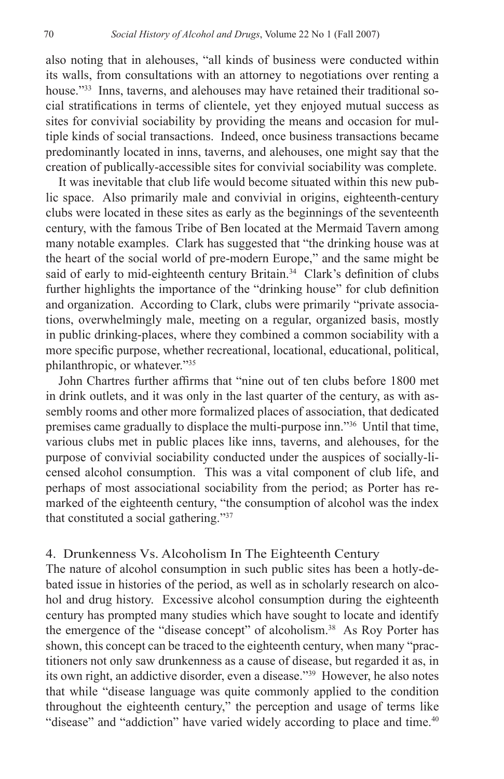also noting that in alehouses, "all kinds of business were conducted within its walls, from consultations with an attorney to negotiations over renting a house."<sup>33</sup> Inns, taverns, and alehouses may have retained their traditional social stratifications in terms of clientele, yet they enjoyed mutual success as sites for convivial sociability by providing the means and occasion for multiple kinds of social transactions. Indeed, once business transactions became predominantly located in inns, taverns, and alehouses, one might say that the creation of publically-accessible sites for convivial sociability was complete.

It was inevitable that club life would become situated within this new public space. Also primarily male and convivial in origins, eighteenth-century clubs were located in these sites as early as the beginnings of the seventeenth century, with the famous Tribe of Ben located at the Mermaid Tavern among many notable examples. Clark has suggested that "the drinking house was at the heart of the social world of pre-modern Europe," and the same might be said of early to mid-eighteenth century Britain.<sup>34</sup> Clark's definition of clubs further highlights the importance of the "drinking house" for club definition and organization. According to Clark, clubs were primarily "private associations, overwhelmingly male, meeting on a regular, organized basis, mostly in public drinking-places, where they combined a common sociability with a more specific purpose, whether recreational, locational, educational, political, philanthropic, or whatever."35

John Chartres further affirms that "nine out of ten clubs before 1800 met in drink outlets, and it was only in the last quarter of the century, as with assembly rooms and other more formalized places of association, that dedicated premises came gradually to displace the multi-purpose inn."36 Until that time, various clubs met in public places like inns, taverns, and alehouses, for the purpose of convivial sociability conducted under the auspices of socially-licensed alcohol consumption. This was a vital component of club life, and perhaps of most associational sociability from the period; as Porter has remarked of the eighteenth century, "the consumption of alcohol was the index that constituted a social gathering."37

#### 4. Drunkenness Vs. Alcoholism In The Eighteenth Century

The nature of alcohol consumption in such public sites has been a hotly-debated issue in histories of the period, as well as in scholarly research on alcohol and drug history. Excessive alcohol consumption during the eighteenth century has prompted many studies which have sought to locate and identify the emergence of the "disease concept" of alcoholism.<sup>38</sup> As Roy Porter has shown, this concept can be traced to the eighteenth century, when many "practitioners not only saw drunkenness as a cause of disease, but regarded it as, in its own right, an addictive disorder, even a disease."39 However, he also notes that while "disease language was quite commonly applied to the condition throughout the eighteenth century," the perception and usage of terms like "disease" and "addiction" have varied widely according to place and time.<sup>40</sup>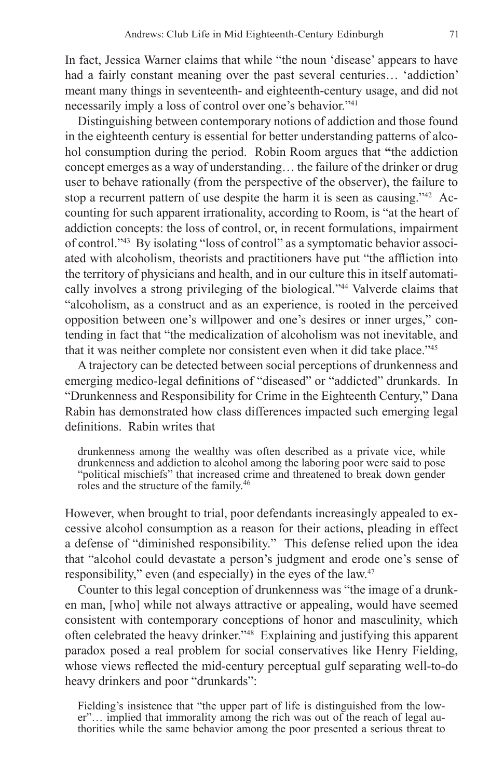In fact, Jessica Warner claims that while "the noun 'disease' appears to have had a fairly constant meaning over the past several centuries… 'addiction' meant many things in seventeenth- and eighteenth-century usage, and did not necessarily imply a loss of control over one's behavior."41

Distinguishing between contemporary notions of addiction and those found in the eighteenth century is essential for better understanding patterns of alcohol consumption during the period. Robin Room argues that **"**the addiction concept emerges as a way of understanding… the failure of the drinker or drug user to behave rationally (from the perspective of the observer), the failure to stop a recurrent pattern of use despite the harm it is seen as causing."42 Accounting for such apparent irrationality, according to Room, is "at the heart of addiction concepts: the loss of control, or, in recent formulations, impairment of control."43 By isolating "loss of control" as a symptomatic behavior associated with alcoholism, theorists and practitioners have put "the affliction into the territory of physicians and health, and in our culture this in itself automatically involves a strong privileging of the biological."44 Valverde claims that "alcoholism, as a construct and as an experience, is rooted in the perceived opposition between one's willpower and one's desires or inner urges," contending in fact that "the medicalization of alcoholism was not inevitable, and that it was neither complete nor consistent even when it did take place."45

A trajectory can be detected between social perceptions of drunkenness and emerging medico-legal definitions of "diseased" or "addicted" drunkards. In "Drunkenness and Responsibility for Crime in the Eighteenth Century," Dana Rabin has demonstrated how class differences impacted such emerging legal definitions. Rabin writes that

drunkenness among the wealthy was often described as a private vice, while drunkenness and addiction to alcohol among the laboring poor were said to pose "political mischiefs" that increased crime and threatened to break down gender roles and the structure of the family.<sup>46</sup>

However, when brought to trial, poor defendants increasingly appealed to excessive alcohol consumption as a reason for their actions, pleading in effect a defense of "diminished responsibility." This defense relied upon the idea that "alcohol could devastate a person's judgment and erode one's sense of responsibility," even (and especially) in the eyes of the law.47

Counter to this legal conception of drunkenness was "the image of a drunken man, [who] while not always attractive or appealing, would have seemed consistent with contemporary conceptions of honor and masculinity, which often celebrated the heavy drinker."48 Explaining and justifying this apparent paradox posed a real problem for social conservatives like Henry Fielding, whose views reflected the mid-century perceptual gulf separating well-to-do heavy drinkers and poor "drunkards":

Fielding's insistence that "the upper part of life is distinguished from the lower"... implied that immorality among the rich was out of the reach of legal authorities while the same behavior among the poor presented a serious threat to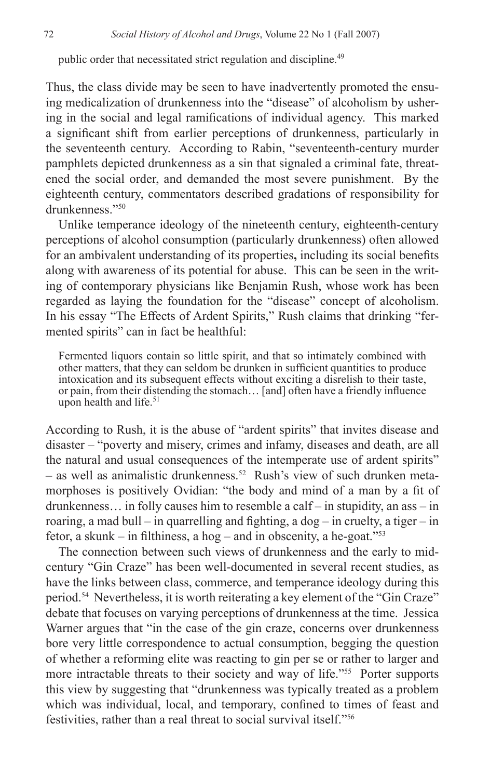public order that necessitated strict regulation and discipline.49

Thus, the class divide may be seen to have inadvertently promoted the ensuing medicalization of drunkenness into the "disease" of alcoholism by ushering in the social and legal ramifications of individual agency. This marked a significant shift from earlier perceptions of drunkenness, particularly in the seventeenth century. According to Rabin, "seventeenth-century murder pamphlets depicted drunkenness as a sin that signaled a criminal fate, threatened the social order, and demanded the most severe punishment. By the eighteenth century, commentators described gradations of responsibility for drunkenness."50

Unlike temperance ideology of the nineteenth century, eighteenth-century perceptions of alcohol consumption (particularly drunkenness) often allowed for an ambivalent understanding of its properties**,** including its social benefits along with awareness of its potential for abuse. This can be seen in the writing of contemporary physicians like Benjamin Rush, whose work has been regarded as laying the foundation for the "disease" concept of alcoholism. In his essay "The Effects of Ardent Spirits," Rush claims that drinking "fermented spirits" can in fact be healthful:

Fermented liquors contain so little spirit, and that so intimately combined with other matters, that they can seldom be drunken in sufficient quantities to produce intoxication and its subsequent effects without exciting a disrelish to their taste, or pain, from their distending the stomach… [and] often have a friendly influence upon health and life.<sup>51</sup>

According to Rush, it is the abuse of "ardent spirits" that invites disease and disaster – "poverty and misery, crimes and infamy, diseases and death, are all the natural and usual consequences of the intemperate use of ardent spirits"  $-$  as well as animalistic drunkenness.<sup>52</sup> Rush's view of such drunken metamorphoses is positively Ovidian: "the body and mind of a man by a fit of drunkenness… in folly causes him to resemble a calf – in stupidity, an ass – in roaring, a mad bull – in quarrelling and fighting, a dog – in cruelty, a tiger – in fetor, a skunk – in filthiness, a hog – and in obscenity, a he-goat."<sup>53</sup>

The connection between such views of drunkenness and the early to midcentury "Gin Craze" has been well-documented in several recent studies, as have the links between class, commerce, and temperance ideology during this period.54 Nevertheless, it is worth reiterating a key element of the "Gin Craze" debate that focuses on varying perceptions of drunkenness at the time. Jessica Warner argues that "in the case of the gin craze, concerns over drunkenness bore very little correspondence to actual consumption, begging the question of whether a reforming elite was reacting to gin per se or rather to larger and more intractable threats to their society and way of life."<sup>55</sup> Porter supports this view by suggesting that "drunkenness was typically treated as a problem which was individual, local, and temporary, confined to times of feast and festivities, rather than a real threat to social survival itself<sup>756</sup>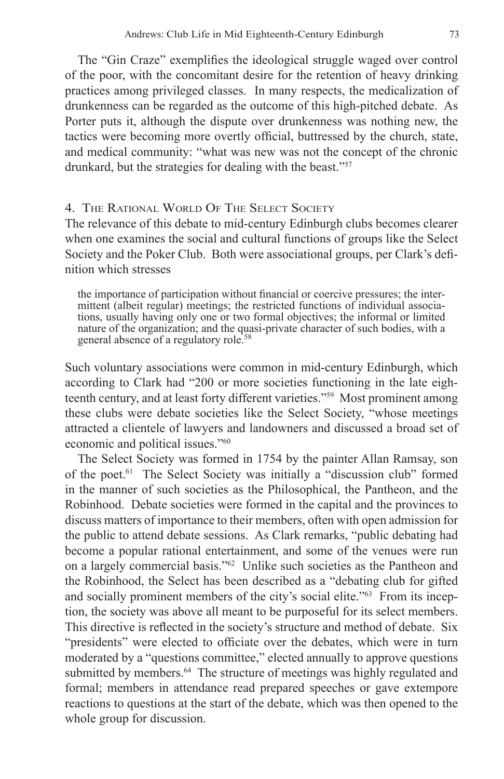The "Gin Craze" exemplifies the ideological struggle waged over control of the poor, with the concomitant desire for the retention of heavy drinking practices among privileged classes. In many respects, the medicalization of drunkenness can be regarded as the outcome of this high-pitched debate. As Porter puts it, although the dispute over drunkenness was nothing new, the tactics were becoming more overtly official, buttressed by the church, state, and medical community: "what was new was not the concept of the chronic drunkard, but the strategies for dealing with the beast."57

### 4. The Rational World Of The Select Society

The relevance of this debate to mid-century Edinburgh clubs becomes clearer when one examines the social and cultural functions of groups like the Select Society and the Poker Club. Both were associational groups, per Clark's definition which stresses

the importance of participation without financial or coercive pressures; the intermittent (albeit regular) meetings; the restricted functions of individual associations, usually having only one or two formal objectives; the informal or limited nature of the organization; and the quasi-private character of such bodies, with a general absence of a regulatory role.<sup>58</sup>

Such voluntary associations were common in mid-century Edinburgh, which according to Clark had "200 or more societies functioning in the late eighteenth century, and at least forty different varieties."59 Most prominent among these clubs were debate societies like the Select Society, "whose meetings attracted a clientele of lawyers and landowners and discussed a broad set of economic and political issues."60

The Select Society was formed in 1754 by the painter Allan Ramsay, son of the poet.61 The Select Society was initially a "discussion club" formed in the manner of such societies as the Philosophical, the Pantheon, and the Robinhood. Debate societies were formed in the capital and the provinces to discuss matters of importance to their members, often with open admission for the public to attend debate sessions. As Clark remarks, "public debating had become a popular rational entertainment, and some of the venues were run on a largely commercial basis."62 Unlike such societies as the Pantheon and the Robinhood, the Select has been described as a "debating club for gifted and socially prominent members of the city's social elite."<sup>63</sup> From its inception, the society was above all meant to be purposeful for its select members. This directive is reflected in the society's structure and method of debate. Six "presidents" were elected to officiate over the debates, which were in turn moderated by a "questions committee," elected annually to approve questions submitted by members.<sup>64</sup> The structure of meetings was highly regulated and formal; members in attendance read prepared speeches or gave extempore reactions to questions at the start of the debate, which was then opened to the whole group for discussion.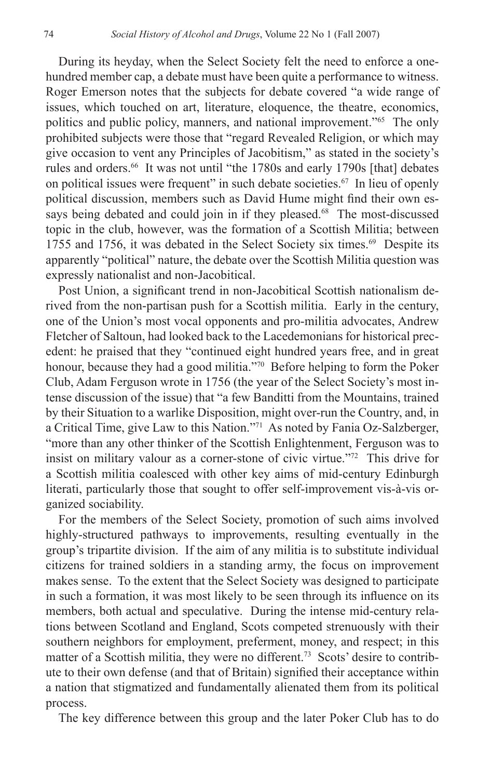During its heyday, when the Select Society felt the need to enforce a onehundred member cap, a debate must have been quite a performance to witness. Roger Emerson notes that the subjects for debate covered "a wide range of issues, which touched on art, literature, eloquence, the theatre, economics, politics and public policy, manners, and national improvement."65 The only prohibited subjects were those that "regard Revealed Religion, or which may give occasion to vent any Principles of Jacobitism," as stated in the society's rules and orders.<sup>66</sup> It was not until "the 1780s and early 1790s [that] debates on political issues were frequent" in such debate societies.<sup>67</sup> In lieu of openly political discussion, members such as David Hume might find their own essays being debated and could join in if they pleased.<sup>68</sup> The most-discussed topic in the club, however, was the formation of a Scottish Militia; between 1755 and 1756, it was debated in the Select Society six times.<sup>69</sup> Despite its apparently "political" nature, the debate over the Scottish Militia question was expressly nationalist and non-Jacobitical.

Post Union, a significant trend in non-Jacobitical Scottish nationalism derived from the non-partisan push for a Scottish militia. Early in the century, one of the Union's most vocal opponents and pro-militia advocates, Andrew Fletcher of Saltoun, had looked back to the Lacedemonians for historical precedent: he praised that they "continued eight hundred years free, and in great honour, because they had a good militia."<sup>70</sup> Before helping to form the Poker Club, Adam Ferguson wrote in 1756 (the year of the Select Society's most intense discussion of the issue) that "a few Banditti from the Mountains, trained by their Situation to a warlike Disposition, might over-run the Country, and, in a Critical Time, give Law to this Nation."71 As noted by Fania Oz-Salzberger, "more than any other thinker of the Scottish Enlightenment, Ferguson was to insist on military valour as a corner-stone of civic virtue."72 This drive for a Scottish militia coalesced with other key aims of mid-century Edinburgh literati, particularly those that sought to offer self-improvement vis-à-vis organized sociability.

For the members of the Select Society, promotion of such aims involved highly-structured pathways to improvements, resulting eventually in the group's tripartite division. If the aim of any militia is to substitute individual citizens for trained soldiers in a standing army, the focus on improvement makes sense. To the extent that the Select Society was designed to participate in such a formation, it was most likely to be seen through its influence on its members, both actual and speculative. During the intense mid-century relations between Scotland and England, Scots competed strenuously with their southern neighbors for employment, preferment, money, and respect; in this matter of a Scottish militia, they were no different.<sup>73</sup> Scots' desire to contribute to their own defense (and that of Britain) signified their acceptance within a nation that stigmatized and fundamentally alienated them from its political process.

The key difference between this group and the later Poker Club has to do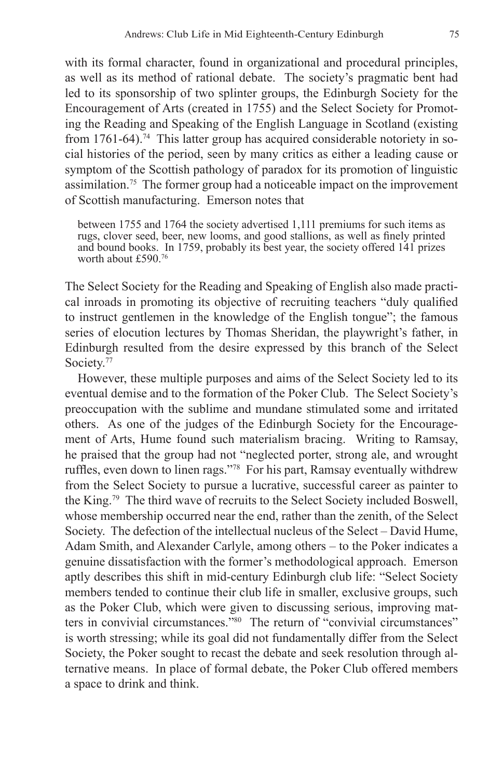with its formal character, found in organizational and procedural principles, as well as its method of rational debate. The society's pragmatic bent had led to its sponsorship of two splinter groups, the Edinburgh Society for the Encouragement of Arts (created in 1755) and the Select Society for Promoting the Reading and Speaking of the English Language in Scotland (existing from  $1761-64$ ).<sup>74</sup> This latter group has acquired considerable notoriety in social histories of the period, seen by many critics as either a leading cause or symptom of the Scottish pathology of paradox for its promotion of linguistic assimilation.75 The former group had a noticeable impact on the improvement of Scottish manufacturing. Emerson notes that

between 1755 and 1764 the society advertised 1,111 premiums for such items as rugs, clover seed, beer, new looms, and good stallions, as well as finely printed and bound books. In 1759, probably its best year, the society offered 141 prizes worth about £590.76

The Select Society for the Reading and Speaking of English also made practical inroads in promoting its objective of recruiting teachers "duly qualified to instruct gentlemen in the knowledge of the English tongue"; the famous series of elocution lectures by Thomas Sheridan, the playwright's father, in Edinburgh resulted from the desire expressed by this branch of the Select Society.<sup>77</sup>

However, these multiple purposes and aims of the Select Society led to its eventual demise and to the formation of the Poker Club. The Select Society's preoccupation with the sublime and mundane stimulated some and irritated others. As one of the judges of the Edinburgh Society for the Encouragement of Arts, Hume found such materialism bracing. Writing to Ramsay, he praised that the group had not "neglected porter, strong ale, and wrought ruffles, even down to linen rags."78 For his part, Ramsay eventually withdrew from the Select Society to pursue a lucrative, successful career as painter to the King.<sup>79</sup> The third wave of recruits to the Select Society included Boswell, whose membership occurred near the end, rather than the zenith, of the Select Society. The defection of the intellectual nucleus of the Select – David Hume, Adam Smith, and Alexander Carlyle, among others – to the Poker indicates a genuine dissatisfaction with the former's methodological approach. Emerson aptly describes this shift in mid-century Edinburgh club life: "Select Society members tended to continue their club life in smaller, exclusive groups, such as the Poker Club, which were given to discussing serious, improving matters in convivial circumstances."80 The return of "convivial circumstances" is worth stressing; while its goal did not fundamentally differ from the Select Society, the Poker sought to recast the debate and seek resolution through alternative means. In place of formal debate, the Poker Club offered members a space to drink and think.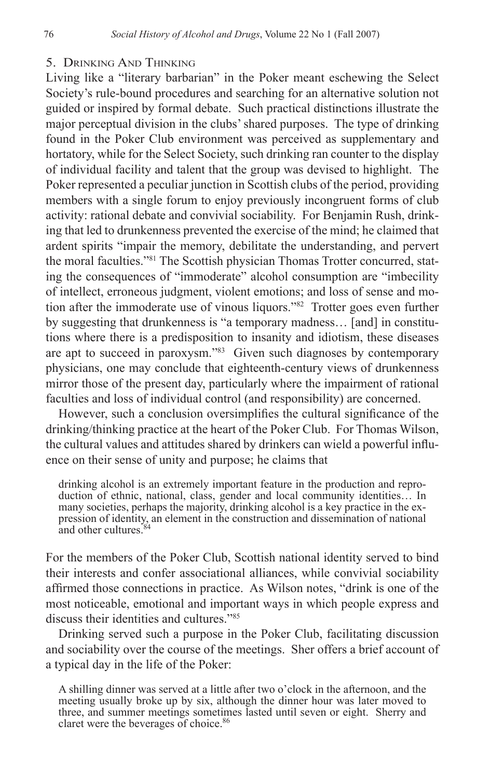#### 5. Drinking And Thinking

Living like a "literary barbarian" in the Poker meant eschewing the Select Society's rule-bound procedures and searching for an alternative solution not guided or inspired by formal debate. Such practical distinctions illustrate the major perceptual division in the clubs' shared purposes. The type of drinking found in the Poker Club environment was perceived as supplementary and hortatory, while for the Select Society, such drinking ran counter to the display of individual facility and talent that the group was devised to highlight. The Poker represented a peculiar junction in Scottish clubs of the period, providing members with a single forum to enjoy previously incongruent forms of club activity: rational debate and convivial sociability. For Benjamin Rush, drinking that led to drunkenness prevented the exercise of the mind; he claimed that ardent spirits "impair the memory, debilitate the understanding, and pervert the moral faculties."<sup>81</sup> The Scottish physician Thomas Trotter concurred, stating the consequences of "immoderate" alcohol consumption are "imbecility of intellect, erroneous judgment, violent emotions; and loss of sense and motion after the immoderate use of vinous liquors."82 Trotter goes even further by suggesting that drunkenness is "a temporary madness… [and] in constitutions where there is a predisposition to insanity and idiotism, these diseases are apt to succeed in paroxysm."83 Given such diagnoses by contemporary physicians, one may conclude that eighteenth-century views of drunkenness mirror those of the present day, particularly where the impairment of rational faculties and loss of individual control (and responsibility) are concerned.

However, such a conclusion oversimplifies the cultural significance of the drinking/thinking practice at the heart of the Poker Club. For Thomas Wilson, the cultural values and attitudes shared by drinkers can wield a powerful influence on their sense of unity and purpose; he claims that

drinking alcohol is an extremely important feature in the production and repro- duction of ethnic, national, class, gender and local community identities… In many societies, perhaps the majority, drinking alcohol is a key practice in the expression of identity, an element in the construction and dissemination of national and other cultures.

For the members of the Poker Club, Scottish national identity served to bind their interests and confer associational alliances, while convivial sociability affirmed those connections in practice. As Wilson notes, "drink is one of the most noticeable, emotional and important ways in which people express and discuss their identities and cultures."85

Drinking served such a purpose in the Poker Club, facilitating discussion and sociability over the course of the meetings. Sher offers a brief account of a typical day in the life of the Poker:

A shilling dinner was served at a little after two o'clock in the afternoon, and the meeting usually broke up by six, although the dinner hour was later moved to three, and summer meetings sometimes lasted until seven or eight. Sherry and claret were the beverages of choice.<sup>86</sup>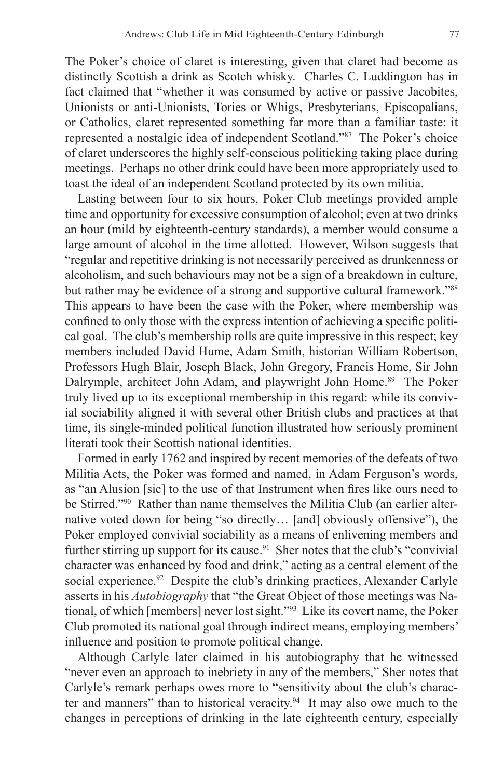The Poker's choice of claret is interesting, given that claret had become as distinctly Scottish a drink as Scotch whisky. Charles C. Luddington has in fact claimed that "whether it was consumed by active or passive Jacobites, Unionists or anti-Unionists, Tories or Whigs, Presbyterians, Episcopalians, or Catholics, claret represented something far more than a familiar taste: it represented a nostalgic idea of independent Scotland."87 The Poker's choice of claret underscores the highly self-conscious politicking taking place during meetings. Perhaps no other drink could have been more appropriately used to toast the ideal of an independent Scotland protected by its own militia.

Lasting between four to six hours, Poker Club meetings provided ample time and opportunity for excessive consumption of alcohol; even at two drinks an hour (mild by eighteenth-century standards), a member would consume a large amount of alcohol in the time allotted. However, Wilson suggests that "regular and repetitive drinking is not necessarily perceived as drunkenness or alcoholism, and such behaviours may not be a sign of a breakdown in culture, but rather may be evidence of a strong and supportive cultural framework."<sup>88</sup> This appears to have been the case with the Poker, where membership was confined to only those with the express intention of achieving a specific political goal. The club's membership rolls are quite impressive in this respect; key members included David Hume, Adam Smith, historian William Robertson, Professors Hugh Blair, Joseph Black, John Gregory, Francis Home, Sir John Dalrymple, architect John Adam, and playwright John Home.<sup>89</sup> The Poker truly lived up to its exceptional membership in this regard: while its convivial sociability aligned it with several other British clubs and practices at that time, its single-minded political function illustrated how seriously prominent literati took their Scottish national identities.

Formed in early 1762 and inspired by recent memories of the defeats of two Militia Acts, the Poker was formed and named, in Adam Ferguson's words, as "an Alusion [sic] to the use of that Instrument when fires like ours need to be Stirred."<sup>90</sup> Rather than name themselves the Militia Club (an earlier alternative voted down for being "so directly… [and] obviously offensive"), the Poker employed convivial sociability as a means of enlivening members and further stirring up support for its cause.<sup>91</sup> Sher notes that the club's "convivial" character was enhanced by food and drink," acting as a central element of the social experience.<sup>92</sup> Despite the club's drinking practices, Alexander Carlyle asserts in his *Autobiography* that "the Great Object of those meetings was National, of which [members] never lost sight."93 Like its covert name, the Poker Club promoted its national goal through indirect means, employing members' influence and position to promote political change.

Although Carlyle later claimed in his autobiography that he witnessed "never even an approach to inebriety in any of the members," Sher notes that Carlyle's remark perhaps owes more to "sensitivity about the club's character and manners" than to historical veracity.<sup>94</sup> It may also owe much to the changes in perceptions of drinking in the late eighteenth century, especially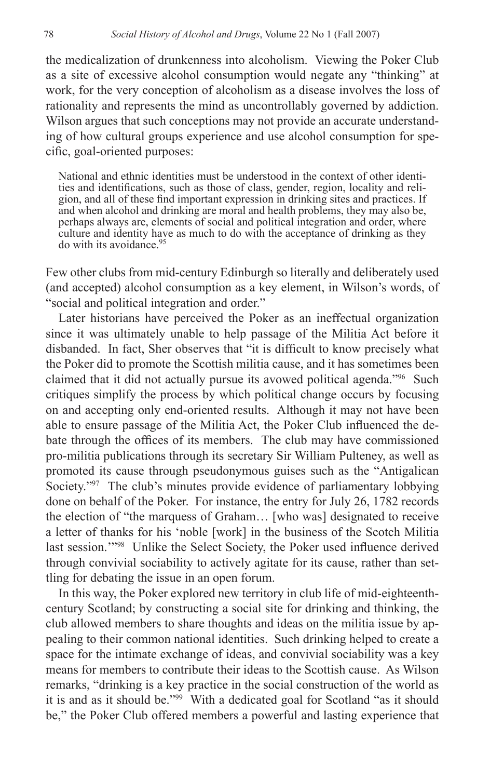the medicalization of drunkenness into alcoholism. Viewing the Poker Club as a site of excessive alcohol consumption would negate any "thinking" at work, for the very conception of alcoholism as a disease involves the loss of rationality and represents the mind as uncontrollably governed by addiction. Wilson argues that such conceptions may not provide an accurate understanding of how cultural groups experience and use alcohol consumption for specific, goal-oriented purposes:

National and ethnic identities must be understood in the context of other identities and identifications, such as those of class, gender, region, locality and religion, and all of these find important expression in drinking sites and practices. If and when alcohol and drinking are moral and health problems, they may also be, perhaps always are, elements of social and political integration and order, where culture and identity have as much to do with the acceptance of drinking as they do with its avoidance <sup>95</sup>

Few other clubs from mid-century Edinburgh so literally and deliberately used (and accepted) alcohol consumption as a key element, in Wilson's words, of "social and political integration and order."

Later historians have perceived the Poker as an ineffectual organization since it was ultimately unable to help passage of the Militia Act before it disbanded. In fact, Sher observes that "it is difficult to know precisely what the Poker did to promote the Scottish militia cause, and it has sometimes been claimed that it did not actually pursue its avowed political agenda."96 Such critiques simplify the process by which political change occurs by focusing on and accepting only end-oriented results. Although it may not have been able to ensure passage of the Militia Act, the Poker Club influenced the debate through the offices of its members. The club may have commissioned pro-militia publications through its secretary Sir William Pulteney, as well as promoted its cause through pseudonymous guises such as the "Antigalican Society."<sup>97</sup> The club's minutes provide evidence of parliamentary lobbying done on behalf of the Poker. For instance, the entry for July 26, 1782 records the election of "the marquess of Graham… [who was] designated to receive a letter of thanks for his 'noble [work] in the business of the Scotch Militia last session.'"98 Unlike the Select Society, the Poker used influence derived through convivial sociability to actively agitate for its cause, rather than settling for debating the issue in an open forum.

In this way, the Poker explored new territory in club life of mid-eighteenthcentury Scotland; by constructing a social site for drinking and thinking, the club allowed members to share thoughts and ideas on the militia issue by appealing to their common national identities. Such drinking helped to create a space for the intimate exchange of ideas, and convivial sociability was a key means for members to contribute their ideas to the Scottish cause. As Wilson remarks, "drinking is a key practice in the social construction of the world as it is and as it should be."99 With a dedicated goal for Scotland "as it should be," the Poker Club offered members a powerful and lasting experience that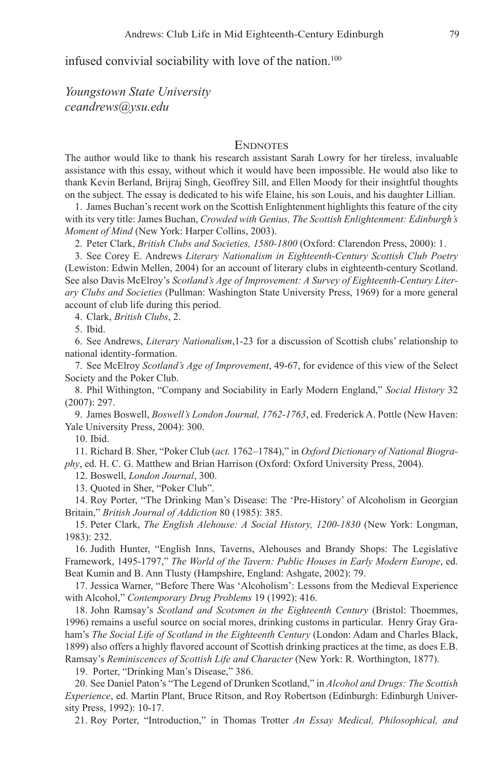infused convivial sociability with love of the nation.<sup>100</sup>

*Youngstown State University ceandrews@ysu.edu*

#### **ENDNOTES**

The author would like to thank his research assistant Sarah Lowry for her tireless, invaluable assistance with this essay, without which it would have been impossible. He would also like to thank Kevin Berland, Brijraj Singh, Geoffrey Sill, and Ellen Moody for their insightful thoughts on the subject. The essay is dedicated to his wife Elaine, his son Louis, and his daughter Lillian.

1. James Buchan's recent work on the Scottish Enlightenment highlights this feature of the city with its very title: James Buchan, *Crowded with Genius, The Scottish Enlightenment: Edinburgh's Moment of Mind* (New York: Harper Collins, 2003).

2. Peter Clark, *British Clubs and Societies, 1580-1800* (Oxford: Clarendon Press, 2000): 1.

See Corey E. Andrews *Literary Nationalism in Eighteenth-Century Scottish Club Poetry* 3. (Lewiston: Edwin Mellen, 2004) for an account of literary clubs in eighteenth-century Scotland. See also Davis McElroy's *Scotland's Age of Improvement: A Survey of Eighteenth-Century Literary Clubs and Societies* (Pullman: Washington State University Press, 1969) for a more general account of club life during this period.

Clark, *British Clubs*, 2. 4.

5. Ibid.

6. See Andrews, *Literary Nationalism*, 1-23 for a discussion of Scottish clubs' relationship to national identity-formation.

7. See McElroy *Scotland's Age of Improvement*, 49-67, for evidence of this view of the Select Society and the Poker Club.

Phil Withington, "Company and Sociability in Early Modern England," *Social History* 32 8. (2007): 297.

9. James Boswell, *Boswell's London Journal, 1762-1763*, ed. Frederick A. Pottle (New Haven: Yale University Press, 2004): 300.

10. Ibid.

Richard B. Sher, "Poker Club (*act.* 1762–1784)," in *Oxford Dictionary of National Biogra-*11. *phy*, ed. H. C. G. Matthew and Brian Harrison (Oxford: Oxford University Press, 2004).

Boswell, *London Journal*, 300. 12.

13. Quoted in Sher, "Poker Club".

14. Roy Porter, "The Drinking Man's Disease: The 'Pre-History' of Alcoholism in Georgian Britain," *British Journal of Addiction* 80 (1985): 385.

15. Peter Clark, *The English Alehouse: A Social History, 1200-1830* (New York: Longman, 1983): 232.

16. Judith Hunter, "English Inns, Taverns, Alehouses and Brandy Shops: The Legislative Framework, 1495-1797," *The World of the Tavern: Public Houses in Early Modern Europe*, ed. Beat Kumin and B. Ann Tlusty (Hampshire, England: Ashgate, 2002): 79.

17. Jessica Warner, "Before There Was 'Alcoholism': Lessons from the Medieval Experience with Alcohol," *Contemporary Drug Problems* 19 (1992): 416.

18. John Ramsay's Scotland and Scotsmen in the Eighteenth Century (Bristol: Thoemmes, 1996) remains a useful source on social mores, drinking customs in particular. Henry Gray Graham's *The Social Life of Scotland in the Eighteenth Century* (London: Adam and Charles Black, 1899) also offers a highly flavored account of Scottish drinking practices at the time, as does E.B. Ramsay's *Reminiscences of Scottish Life and Character* (New York: R. Worthington, 1877).

19. Porter, "Drinking Man's Disease," 386.

20. See Daniel Paton's "The Legend of Drunken Scotland," in *Alcohol and Drugs: The Scottish Experience*, ed. Martin Plant, Bruce Ritson, and Roy Robertson (Edinburgh: Edinburgh University Press, 1992): 10-17.

21. Roy Porter, "Introduction," in Thomas Trotter An Essay Medical, Philosophical, and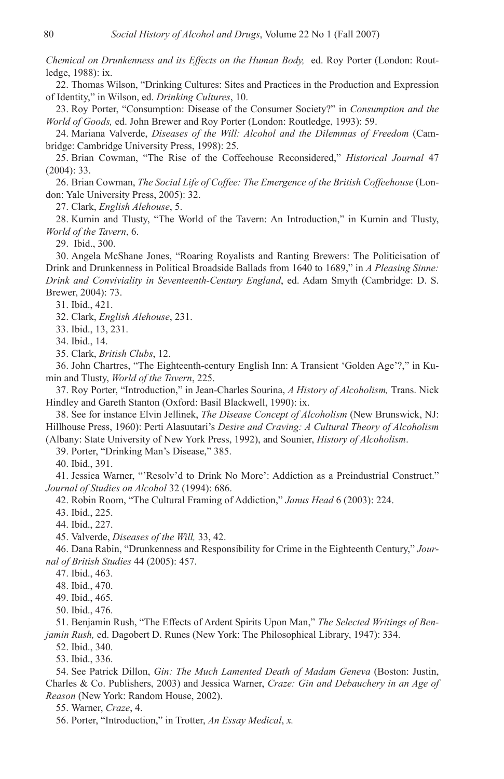*Chemical on Drunkenness and its Effects on the Human Body,* ed. Roy Porter (London: Routledge, 1988): ix.

22. Thomas Wilson, "Drinking Cultures: Sites and Practices in the Production and Expression of Identity," in Wilson, ed. *Drinking Cultures*, 10.

23. Roy Porter, "Consumption: Disease of the Consumer Society?" in *Consumption and the World of Goods,* ed. John Brewer and Roy Porter (London: Routledge, 1993): 59.

24. Mariana Valverde, *Diseases of the Will: Alcohol and the Dilemmas of Freedom* (Cambridge: Cambridge University Press, 1998): 25.

Brian Cowman, "The Rise of the Coffeehouse Reconsidered," *Historical Journal* 47 25. (2004): 33.

26. Brian Cowman, *The Social Life of Coffee: The Emergence of the British Coffeehouse* (London: Yale University Press, 2005): 32.

Clark, *English Alehouse*, 5. 27.

28. Kumin and Tlusty, "The World of the Tavern: An Introduction," in Kumin and Tlusty, *World of the Tavern*, 6.

Ibid., 300. 29.

30. Angela McShane Jones, "Roaring Royalists and Ranting Brewers: The Politicisation of Drink and Drunkenness in Political Broadside Ballads from 1640 to 1689," in *A Pleasing Sinne: Drink and Conviviality in Seventeenth-Century England*, ed. Adam Smyth (Cambridge: D. S. Brewer, 2004): 73.

31. Ibid., 421.

Clark, *English Alehouse*, 231. 32.

33. Ibid., 13, 231.

34. Ibid., 14.

Clark, *British Clubs*, 12. 35.

36. John Chartres, "The Eighteenth-century English Inn: A Transient 'Golden Age'?," in Kumin and Tlusty, *World of the Tavern*, 225.

37. Roy Porter, "Introduction," in Jean-Charles Sourina, *A History of Alcoholism*, Trans. Nick Hindley and Gareth Stanton (Oxford: Basil Blackwell, 1990): ix.

See for instance Elvin Jellinek, *The Disease Concept of Alcoholism* (New Brunswick, NJ: 38. Hillhouse Press, 1960): Perti Alasuutari's *Desire and Craving: A Cultural Theory of Alcoholism* (Albany: State University of New York Press, 1992), and Sounier, *History of Alcoholism*.

39. Porter, "Drinking Man's Disease," 385.

40. Ibid., 391.

41. Jessica Warner, "'Resolv'd to Drink No More': Addiction as a Preindustrial Construct." *Journal of Studies on Alcohol* 32 (1994): 686.

42. Robin Room, "The Cultural Framing of Addiction," Janus Head 6 (2003): 224.

43. Ibid., 225.

44. Ibid., 227.

Valverde, *Diseases of the Will,* 33, 42. 45.

46. Dana Rabin, "Drunkenness and Responsibility for Crime in the Eighteenth Century," *Journal of British Studies* 44 (2005): 457.

47. Ibid., 463.

48. Ibid., 470.

49. Ibid., 465.

50. Ibid., 476.

Benjamin Rush, "The Effects of Ardent Spirits Upon Man," *The Selected Writings of Ben-*51. *jamin Rush,* ed. Dagobert D. Runes (New York: The Philosophical Library, 1947): 334.

52. Ibid., 340.

53. Ibid., 336.

See Patrick Dillon, *Gin: The Much Lamented Death of Madam Geneva* (Boston: Justin, 54. Charles & Co. Publishers, 2003) and Jessica Warner, *Craze: Gin and Debauchery in an Age of Reason* (New York: Random House, 2002).

Warner, *Craze*, 4. 55.

56. Porter, "Introduction," in Trotter, *An Essay Medical*, *x*.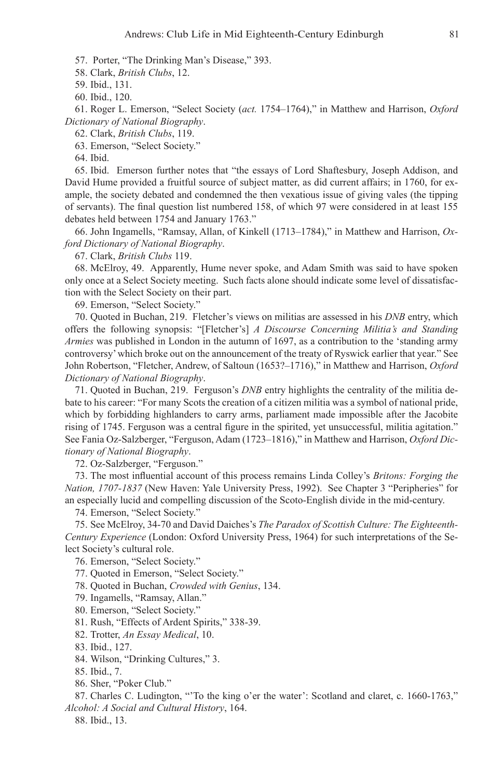57. Porter, "The Drinking Man's Disease," 393.

Clark, *British Clubs*, 12. 58.

59. Ibid., 131.

60. Ibid., 120.

61. Roger L. Emerson, "Select Society (act. 1754–1764)," in Matthew and Harrison, *Oxford Dictionary of National Biography*.

Clark, *British Clubs*, 119. 62.

63. Emerson, "Select Society."

64. Ibid.

65. Ibid. Emerson further notes that "the essays of Lord Shaftesbury, Joseph Addison, and David Hume provided a fruitful source of subject matter, as did current affairs; in 1760, for example, the society debated and condemned the then vexatious issue of giving vales (the tipping of servants). The final question list numbered 158, of which 97 were considered in at least 155 debates held between 1754 and January 1763."

66. John Ingamells, "Ramsay, Allan, of Kinkell (1713–1784)," in Matthew and Harrison, Ox*ford Dictionary of National Biography*.

Clark, *British Clubs* 119. 67.

68. McElroy, 49. Apparently, Hume never spoke, and Adam Smith was said to have spoken only once at a Select Society meeting. Such facts alone should indicate some level of dissatisfaction with the Select Society on their part.

69. Emerson, "Select Society."

70. Quoted in Buchan, 219. Fletcher's views on militias are assessed in his *DNB* entry, which offers the following synopsis: "[Fletcher's] *A Discourse Concerning Militia's and Standing Armies* was published in London in the autumn of 1697, as a contribution to the 'standing army controversy' which broke out on the announcement of the treaty of Ryswick earlier that year." See John Robertson, "Fletcher, Andrew, of Saltoun (1653?–1716)," in Matthew and Harrison, *Oxford Dictionary of National Biography*.

71. Quoted in Buchan, 219. Ferguson's *DNB* entry highlights the centrality of the militia debate to his career: "For many Scots the creation of a citizen militia was a symbol of national pride, which by forbidding highlanders to carry arms, parliament made impossible after the Jacobite rising of 1745. Ferguson was a central figure in the spirited, yet unsuccessful, militia agitation." See Fania Oz-Salzberger, "Ferguson, Adam (1723–1816)," in Matthew and Harrison, *Oxford Dictionary of National Biography*.

72. Oz-Salzberger, "Ferguson."

The most influential account of this process remains Linda Colley's *Britons: Forging the*  73. *Nation, 1707-1837* (New Haven: Yale University Press, 1992). See Chapter 3 "Peripheries" for an especially lucid and compelling discussion of the Scoto-English divide in the mid-century.

74. Emerson, "Select Society."

See McElroy, 34-70 and David Daiches's *The Paradox of Scottish Culture: The Eighteenth-*75. *Century Experience* (London: Oxford University Press, 1964) for such interpretations of the Select Society's cultural role.

76. Emerson, "Select Society."

77. Quoted in Emerson, "Select Society."

78. Quoted in Buchan, Crowded with Genius, 134.

79. Ingamells, "Ramsay, Allan."

Emerson, "Select Society." 80.

81. Rush, "Effects of Ardent Spirits," 338-39.

82. Trotter, An Essay Medical, 10.

83. Ibid., 127.

84. Wilson, "Drinking Cultures," 3.

85. Ibid., 7.

86. Sher, "Poker Club."

87. Charles C. Ludington, "To the king o'er the water': Scotland and claret, c. 1660-1763," *Alcohol: A Social and Cultural History*, 164.

88. Ibid., 13.